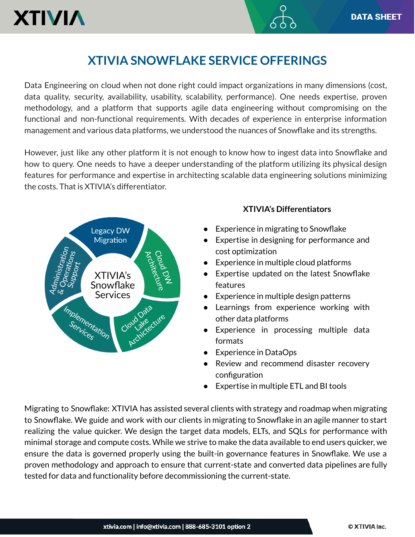## **XTIVIA SNOWFLAKE SERVICE OFFERINGS**

Data Engineering on cloud when not done right could impact organizations in many dimensions (cost, data quality, security, availability, usability, scalability, performance). One needs expertise, proven methodology, and a platform that supports agile data engineering without compromising on the functional and non-functional requirements. With decades of experience in enterprise information management and various data platforms, we understood the nuances of Snowflake and its strengths.

However, just like any other platform it is not enough to know how to ingest data into Snowflake and how to query. One needs to have a deeper understanding of the platform utilizing its physical design features for performance and expertise in architecting scalable data engineering solutions minimizing the costs. That is XTIVIA's differentiator.



## **XTIVIA's Differentiators**

- Experience in migrating to Snowflake
- Expertise in designing for performance and cost optimization
- Experience in multiple cloud platforms
- Expertise updated on the latest Snowflake features
- Experience in multiple design patterns
- Learnings from experience working with other data platforms
- Experience in processing multiple data formats
- Experience in DataOps
- Review and recommend disaster recovery configuration
- Expertise in multiple ETL and BI tools

Migrating to Snowflake: XTIVIA has assisted several clients with strategy and roadmap when migrating to Snowflake. We guide and work with our clients in migrating to Snowflake in an agile manner to start realizing the value quicker. We design the target data models, ELTs, and SQLs for performance with minimal storage and compute costs. While we strive to make the data available to end users quicker, we ensure the data is governed properly using the built-in governance features in Snowflake. We use a proven methodology and approach to ensure that current-state and converted data pipelines are fully tested for data and functionality before decommissioning the current-state.